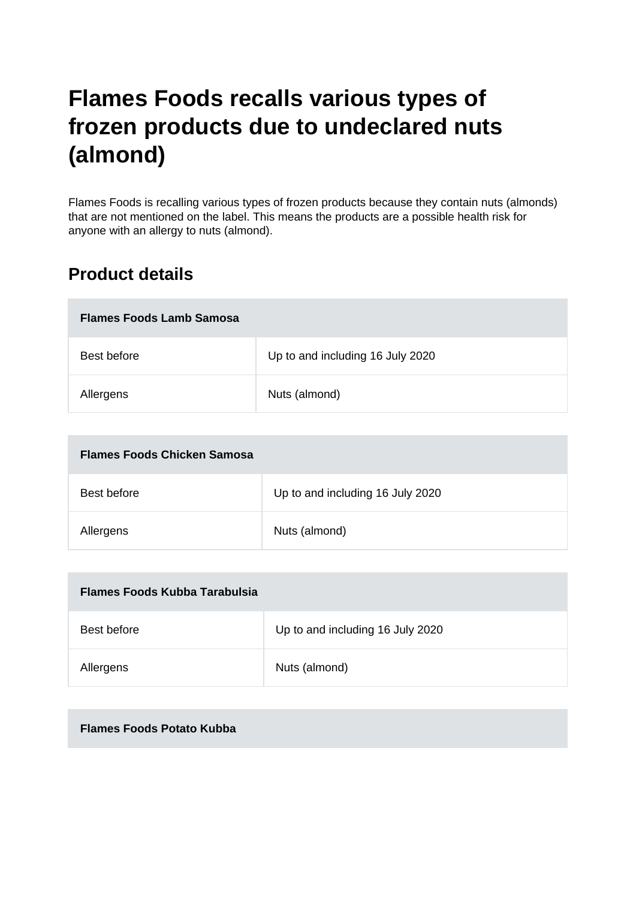# **Flames Foods recalls various types of frozen products due to undeclared nuts (almond)**

Flames Foods is recalling various types of frozen products because they contain nuts (almonds) that are not mentioned on the label. This means the products are a possible health risk for anyone with an allergy to nuts (almond).

## **Product details**

| <b>Flames Foods Lamb Samosa</b> |                                  |
|---------------------------------|----------------------------------|
| Best before                     | Up to and including 16 July 2020 |
| Allergens                       | Nuts (almond)                    |

| <b>Flames Foods Chicken Samosa</b> |                                  |
|------------------------------------|----------------------------------|
| Best before                        | Up to and including 16 July 2020 |
| Allergens                          | Nuts (almond)                    |

| Flames Foods Kubba Tarabulsia |                                  |
|-------------------------------|----------------------------------|
| Best before                   | Up to and including 16 July 2020 |
| Allergens                     | Nuts (almond)                    |

#### **Flames Foods Potato Kubba**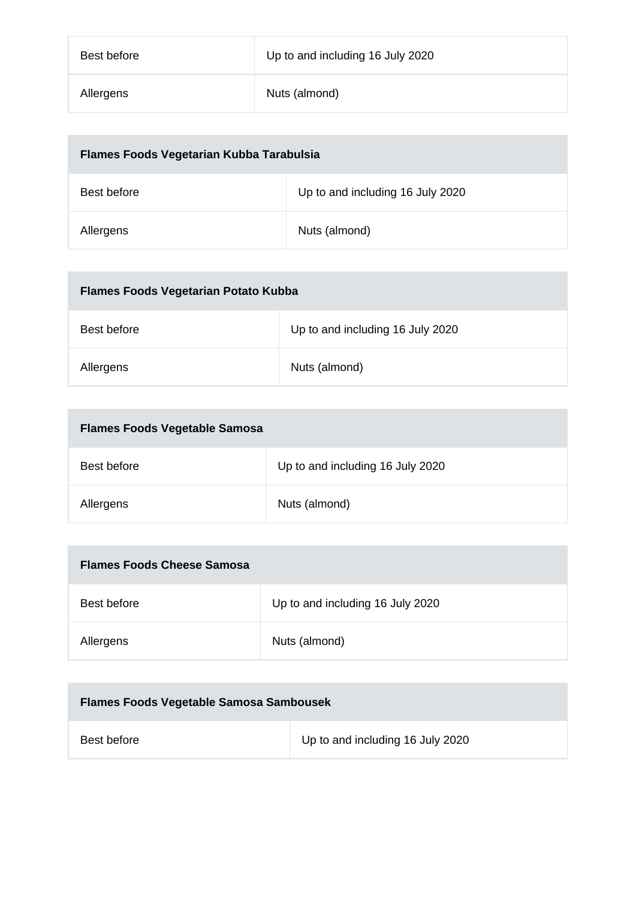| Best before | Up to and including 16 July 2020 |
|-------------|----------------------------------|
| Allergens   | Nuts (almond)                    |

| Flames Foods Vegetarian Kubba Tarabulsia |                                  |
|------------------------------------------|----------------------------------|
| Best before                              | Up to and including 16 July 2020 |
| Allergens                                | Nuts (almond)                    |

| <b>Flames Foods Vegetarian Potato Kubba</b> |                                  |
|---------------------------------------------|----------------------------------|
| Best before                                 | Up to and including 16 July 2020 |
| Allergens                                   | Nuts (almond)                    |

| <b>Flames Foods Vegetable Samosa</b> |                                  |
|--------------------------------------|----------------------------------|
| Best before                          | Up to and including 16 July 2020 |
| Allergens                            | Nuts (almond)                    |

| <b>Flames Foods Cheese Samosa</b> |                                  |
|-----------------------------------|----------------------------------|
| Best before                       | Up to and including 16 July 2020 |
| Allergens                         | Nuts (almond)                    |

| <b>Flames Foods Vegetable Samosa Sambousek</b> |                                  |
|------------------------------------------------|----------------------------------|
| Best before                                    | Up to and including 16 July 2020 |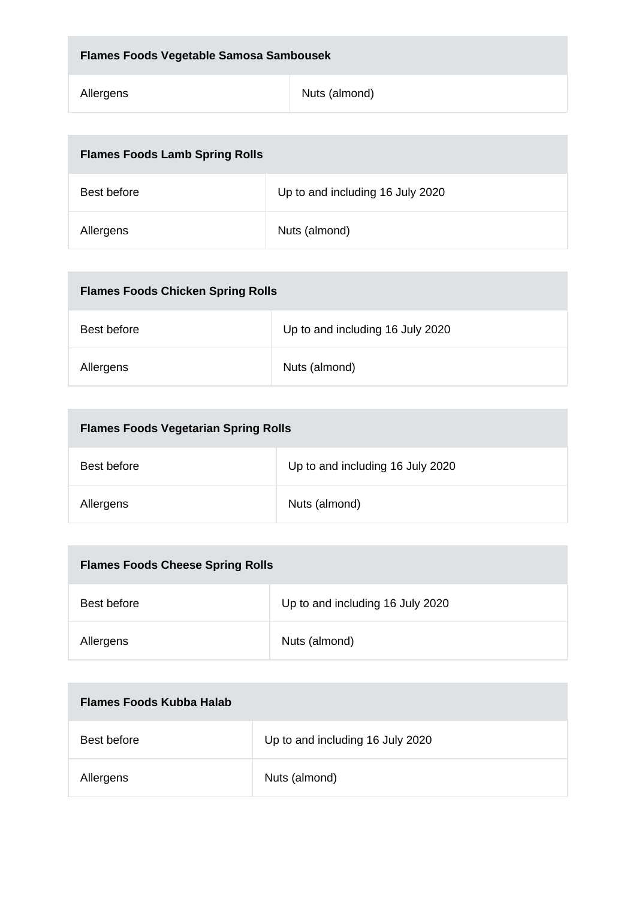| <b>Flames Foods Vegetable Samosa Sambousek</b> |               |
|------------------------------------------------|---------------|
| Allergens                                      | Nuts (almond) |

| <b>Flames Foods Lamb Spring Rolls</b> |                                  |
|---------------------------------------|----------------------------------|
| Best before                           | Up to and including 16 July 2020 |
| Allergens                             | Nuts (almond)                    |

| <b>Flames Foods Chicken Spring Rolls</b> |                                  |
|------------------------------------------|----------------------------------|
| Best before                              | Up to and including 16 July 2020 |
| Allergens                                | Nuts (almond)                    |

| <b>Flames Foods Vegetarian Spring Rolls</b> |                                  |
|---------------------------------------------|----------------------------------|
| Best before                                 | Up to and including 16 July 2020 |
| Allergens                                   | Nuts (almond)                    |

| <b>Flames Foods Cheese Spring Rolls</b> |                                  |
|-----------------------------------------|----------------------------------|
| Best before                             | Up to and including 16 July 2020 |
| Allergens                               | Nuts (almond)                    |

| Flames Foods Kubba Halab |                                  |
|--------------------------|----------------------------------|
| Best before              | Up to and including 16 July 2020 |
| Allergens                | Nuts (almond)                    |